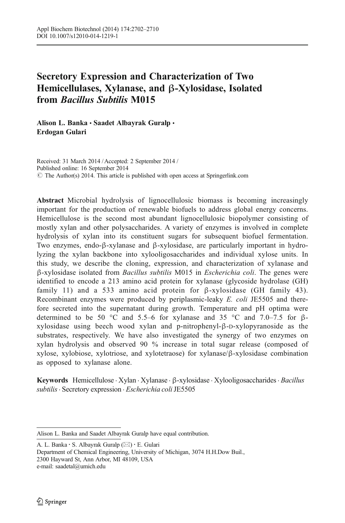# Secretory Expression and Characterization of Two Hemicellulases, Xylanase, and β-Xylosidase, Isolated from Bacillus Subtilis M015

Alison L. Banka · Saadet Albayrak Guralp · Erdogan Gulari

Received: 31 March 2014 /Accepted: 2 September 2014 / Published online: 16 September 2014  $\circ$  The Author(s) 2014. This article is published with open access at Springerlink.com

Abstract Microbial hydrolysis of lignocellulosic biomass is becoming increasingly important for the production of renewable biofuels to address global energy concerns. Hemicellulose is the second most abundant lignocellulosic biopolymer consisting of mostly xylan and other polysaccharides. A variety of enzymes is involved in complete hydrolysis of xylan into its constituent sugars for subsequent biofuel fermentation. Two enzymes, endo-β-xylanase and β-xylosidase, are particularly important in hydrolyzing the xylan backbone into xylooligosaccharides and individual xylose units. In this study, we describe the cloning, expression, and characterization of xylanase and β-xylosidase isolated from Bacillus subtilis M015 in Escherichia coli. The genes were identified to encode a 213 amino acid protein for xylanase (glycoside hydrolase (GH) family 11) and a 533 amino acid protein for β-xylosidase (GH family 43). Recombinant enzymes were produced by periplasmic-leaky E. coli JE5505 and therefore secreted into the supernatant during growth. Temperature and pH optima were determined to be 50 °C and 5.5–6 for xylanase and 35 °C and 7.0–7.5 for  $\beta$ xylosidase using beech wood xylan and p-nitrophenyl-β-D-xylopyranoside as the substrates, respectively. We have also investigated the synergy of two enzymes on xylan hydrolysis and observed 90 % increase in total sugar release (composed of xylose, xylobiose, xylotriose, and xylotetraose) for xylanase/β-xylosidase combination as opposed to xylanase alone.

Keywords Hemicellulose . Xylan . Xylanase . β-xylosidase . Xylooligosaccharides. Bacillus subtilis · Secretory expression · Escherichia coli JE5505

A. L. Banka · S. Albayrak Guralp (⊠) · E. Gulari

Department of Chemical Engineering, University of Michigan, 3074 H.H.Dow Buil., 2300 Hayward St, Ann Arbor, MI 48109, USA

Alison L. Banka and Saadet Albayrak Guralp have equal contribution.

e-mail: saadetal@umich.edu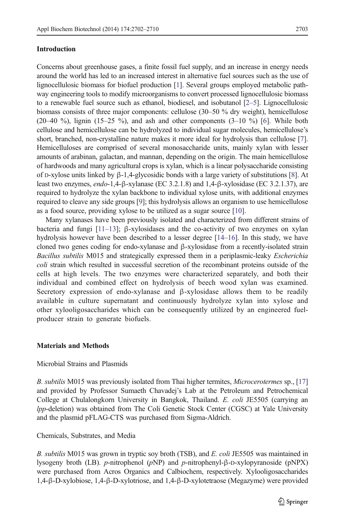#### Introduction

Concerns about greenhouse gases, a finite fossil fuel supply, and an increase in energy needs around the world has led to an increased interest in alternative fuel sources such as the use of lignocellulosic biomass for biofuel production [\[1](#page-7-0)]. Several groups employed metabolic pathway engineering tools to modify microorganisms to convert processed lignocellulosic biomass to a renewable fuel source such as ethanol, biodiesel, and isobutanol [\[2](#page-7-0)–[5](#page-7-0)]. Lignocellulosic biomass consists of three major components: cellulose (30–50 % dry weight), hemicellulose  $(20-40 \%)$ , lignin  $(15-25 \%)$ , and ash and other components  $(3-10 \%)$  [\[6\]](#page-8-0). While both cellulose and hemicellulose can be hydrolyzed to individual sugar molecules, hemicellulose's short, branched, non-crystalline nature makes it more ideal for hydrolysis than cellulose [[7](#page-8-0)]. Hemicelluloses are comprised of several monosaccharide units, mainly xylan with lesser amounts of arabinan, galactan, and mannan, depending on the origin. The main hemicellulose of hardwoods and many agricultural crops is xylan, which is a linear polysaccharide consisting of D-xylose units linked by β-1,4-glycosidic bonds with a large variety of substitutions [\[8\]](#page-8-0). At least two enzymes, endo-1,4-β-xylanase (EC 3.2.1.8) and 1,4-β-xylosidase (EC 3.2.1.37), are required to hydrolyze the xylan backbone to individual xylose units, with additional enzymes required to cleave any side groups [[9](#page-8-0)]; this hydrolysis allows an organism to use hemicellulose as a food source, providing xylose to be utilized as a sugar source [\[10](#page-8-0)].

Many xylanases have been previously isolated and characterized from different strains of bacteria and fungi  $[11-13]$  $[11-13]$  $[11-13]$  $[11-13]$ ; β-xylosidases and the co-activity of two enzymes on xylan hydrolysis however have been described to a lesser degree [\[14](#page-8-0)–[16\]](#page-8-0). In this study, we have cloned two genes coding for endo-xylanase and β-xylosidase from a recently-isolated strain Bacillus subtilis M015 and strategically expressed them in a periplasmic-leaky Escherichia coli strain which resulted in successful secretion of the recombinant proteins outside of the cells at high levels. The two enzymes were characterized separately, and both their individual and combined effect on hydrolysis of beech wood xylan was examined. Secretory expression of endo-xylanase and β-xylosidase allows them to be readily available in culture supernatant and continuously hydrolyze xylan into xylose and other xylooligosaccharides which can be consequently utilized by an engineered fuelproducer strain to generate biofuels.

#### Materials and Methods

#### Microbial Strains and Plasmids

B. *subtilis* M015 was previously isolated from Thai higher termites, *Microcerotermes* sp., [\[17\]](#page-8-0) and provided by Professor Sumaeth Chavadej's Lab at the Petroleum and Petrochemical College at Chulalongkorn University in Bangkok, Thailand. E. coli JE5505 (carrying an lpp-deletion) was obtained from The Coli Genetic Stock Center (CGSC) at Yale University and the plasmid pFLAG-CTS was purchased from Sigma-Aldrich.

#### Chemicals, Substrates, and Media

B. subtilis M015 was grown in tryptic soy broth (TSB), and E. coli JE5505 was maintained in lysogeny broth (LB). p-nitrophenol (pNP) and p-nitrophenyl-β-D-xylopyranoside (pNPX) were purchased from Acros Organics and Calbiochem, respectively. Xylooligosaccharides 1,4-β-D-xylobiose, 1,4-β-D-xylotriose, and 1,4-β-D-xylotetraose (Megazyme) were provided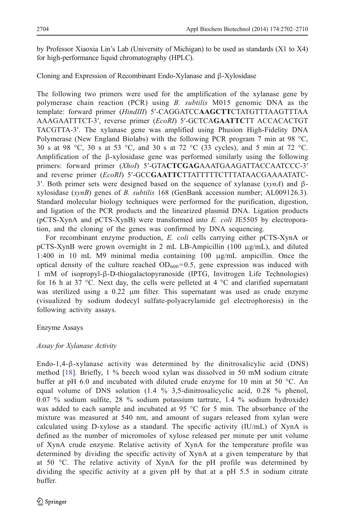by Professor Xiaoxia Lin's Lab (University of Michigan) to be used as standards (X1 to X4) for high-performance liquid chromatography (HPLC).

#### Cloning and Expression of Recombinant Endo-Xylanase and β-Xylosidase

The following two primers were used for the amplification of the xylanase gene by polymerase chain reaction (PCR) using B. subtilis M015 genomic DNA as the template: forward primer (HindIII) 5'-CAGGATCCAAGCTTCTATGTTTAAGTTTAA AAAGAATTTCT-3′, reverse primer (EcoRI) 5′-GCTCAGAATTCTT ACCACACTGT TACGTTA-3′. The xylanase gene was amplified using Phusion High-Fidelity DNA Polymerase (New England Biolabs) with the following PCR program 7 min at 98 °C, 30 s at 98 °C, 30 s at 53 °C, and 30 s at 72 °C (33 cycles), and 5 min at 72 °C. Amplification of the  $\beta$ -xylosidase gene was performed similarly using the following primers: forward primer (Xhol) 5'-GTACTCGAGAAATGAAGATTACCAATCCC-3' and reverse primer (EcoRI) 5'-GCCGAATTCTTATTTTCTTTATAACGAAAATATC-3'. Both primer sets were designed based on the sequence of xylanase (xynA) and βxylosidase (xynB) genes of B. subtilis 168 (GenBank accession number; AL009126.3). Standard molecular biology techniques were performed for the purification, digestion, and ligation of the PCR products and the linearized plasmid DNA. Ligation products (pCTS-XynA and pCTS-XynB) were transformed into E. coli JE5505 by electroporation, and the cloning of the genes was confirmed by DNA sequencing.

For recombinant enzyme production, E. coli cells carrying either pCTS-XynA or pCTS-XynB were grown overnight in 2 mL LB-Ampicillin (100  $\mu$ g/mL), and diluted 1:400 in 10 mL M9 minimal media containing 100 μg/mL ampicillin. Once the optical density of the culture reached  $OD_{600}=0.5$ , gene expression was induced with 1 mM of isopropyl-β-D-thiogalactopyranoside (IPTG, Invitrogen Life Technologies) for 16 h at 37  $\degree$ C. Next day, the cells were pelleted at 4  $\degree$ C and clarified supernatant was sterilized using a 0.22 μm filter. This supernatant was used as crude enzyme (visualized by sodium dodecyl sulfate-polyacrylamide gel electrophoresis) in the following activity assays.

## Enzyme Assays

## Assay for Xylanase Activity

Endo-1,4-β-xylanase activity was determined by the dinitrosalicylic acid (DNS) method [[18\]](#page-8-0). Briefly, 1 % beech wood xylan was dissolved in 50 mM sodium citrate buffer at pH 6.0 and incubated with diluted crude enzyme for 10 min at 50 °C. An equal volume of DNS solution (1.4 % 3,5-dinitrosalicyclic acid, 0.28 % phenol, 0.07 % sodium sulfite, 28 % sodium potassium tartrate, 1.4 % sodium hydroxide) was added to each sample and incubated at 95 °C for 5 min. The absorbance of the mixture was measured at 540 nm, and amount of sugars released from xylan were calculated using D-xylose as a standard. The specific activity (IU/mL) of XynA is defined as the number of micromoles of xylose released per minute per unit volume of XynA crude enzyme. Relative activity of XynA for the temperature profile was determined by dividing the specific activity of XynA at a given temperature by that at 50 °C. The relative activity of XynA for the pH profile was determined by dividing the specific activity at a given pH by that at a pH 5.5 in sodium citrate buffer.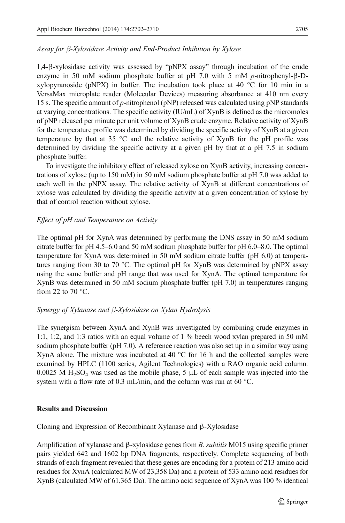## Assay for β-Xylosidase Activity and End-Product Inhibition by Xylose

1,4-β-xylosidase activity was assessed by "pNPX assay" through incubation of the crude enzyme in 50 mM sodium phosphate buffer at pH 7.0 with 5 mM p-nitrophenyl-β-Dxylopyranoside (pNPX) in buffer. The incubation took place at 40 °C for 10 min in a VersaMax microplate reader (Molecular Devices) measuring absorbance at 410 nm every 15 s. The specific amount of p-nitrophenol (pNP) released was calculated using pNP standards at varying concentrations. The specific activity (IU/mL) of XynB is defined as the micromoles of pNP released per minute per unit volume of XynB crude enzyme. Relative activity of XynB for the temperature profile was determined by dividing the specific activity of XynB at a given temperature by that at 35  $\degree$ C and the relative activity of XynB for the pH profile was determined by dividing the specific activity at a given pH by that at a pH 7.5 in sodium phosphate buffer.

To investigate the inhibitory effect of released xylose on XynB activity, increasing concentrations of xylose (up to 150 mM) in 50 mM sodium phosphate buffer at pH 7.0 was added to each well in the pNPX assay. The relative activity of XynB at different concentrations of xylose was calculated by dividing the specific activity at a given concentration of xylose by that of control reaction without xylose.

# Effect of pH and Temperature on Activity

The optimal pH for XynA was determined by performing the DNS assay in 50 mM sodium citrate buffer for pH 4.5–6.0 and 50 mM sodium phosphate buffer for pH 6.0–8.0. The optimal temperature for XynA was determined in 50 mM sodium citrate buffer (pH 6.0) at temperatures ranging from 30 to 70 °C. The optimal pH for XynB was determined by pNPX assay using the same buffer and pH range that was used for XynA. The optimal temperature for XynB was determined in 50 mM sodium phosphate buffer (pH 7.0) in temperatures ranging from 22 to 70 $\degree$ C.

## Synergy of Xylanase and β-Xylosidase on Xylan Hydrolysis

The synergism between XynA and XynB was investigated by combining crude enzymes in 1:1, 1:2, and 1:3 ratios with an equal volume of 1 % beech wood xylan prepared in 50 mM sodium phosphate buffer (pH 7.0). A reference reaction was also set up in a similar way using XynA alone. The mixture was incubated at 40  $^{\circ}$ C for 16 h and the collected samples were examined by HPLC (1100 series, Agilent Technologies) with a RAO organic acid column. 0.0025 M H<sub>2</sub>SO<sub>4</sub> was used as the mobile phase, 5  $\mu$ L of each sample was injected into the system with a flow rate of 0.3 mL/min, and the column was run at 60 °C.

## Results and Discussion

Cloning and Expression of Recombinant Xylanase and β-Xylosidase

Amplification of xylanase and  $\beta$ -xylosidase genes from B. *subtilis* M015 using specific primer pairs yielded 642 and 1602 bp DNA fragments, respectively. Complete sequencing of both strands of each fragment revealed that these genes are encoding for a protein of 213 amino acid residues for XynA (calculated MW of 23,358 Da) and a protein of 533 amino acid residues for XynB (calculated MW of 61,365 Da). The amino acid sequence of XynA was 100 % identical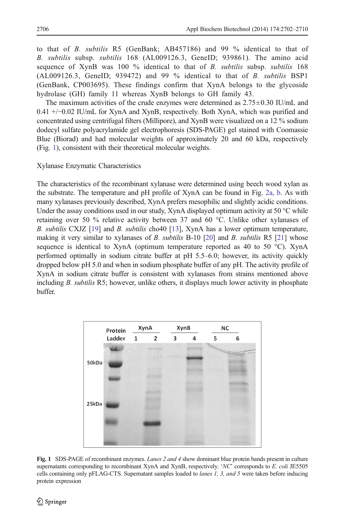to that of B. subtilis R5 (GenBank; AB457186) and 99 % identical to that of B. subtilis subsp. subtilis 168 (AL009126.3, GeneID; 939861). The amino acid sequence of XynB was 100 % identical to that of B. subtilis subsp. subtilis 168  $(AL009126.3, GenelD; 939472)$  and 99 % identical to that of B. subtilis BSP1 (GenBank, CP003695). These findings confirm that XynA belongs to the glycoside hydrolase (GH) family 11 whereas XynB belongs to GH family 43.

The maximum activities of the crude enzymes were determined as  $2.75\pm0.30$  IU/mL and 0.41 +/−0.02 IU/mL for XynA and XynB, respectively. Both XynA, which was purified and concentrated using centrifugal filters (Millipore), and XynB were visualized on a 12 % sodium dodecyl sulfate polyacrylamide gel electrophoresis (SDS-PAGE) gel stained with Coomassie Blue (Biorad) and had molecular weights of approximately 20 and 60 kDa, respectively (Fig. 1), consistent with their theoretical molecular weights.

Xylanase Enzymatic Characteristics

The characteristics of the recombinant xylanase were determined using beech wood xylan as the substrate. The temperature and pH profile of XynA can be found in Fig. [2a, b](#page-5-0). As with many xylanases previously described, XynA prefers mesophilic and slightly acidic conditions. Under the assay conditions used in our study,  $X$ ynA displayed optimum activity at 50  $\degree$ C while retaining over 50 % relative activity between 37 and 60 °C. Unlike other xylanases of B. subtilis CXJZ [\[19\]](#page-8-0) and B. subtilis cho40 [[13\]](#page-8-0), XynA has a lower optimum temperature, making it very similar to xylanases of B. subtilis  $B-10$  [\[20](#page-8-0)] and B. subtilis R5 [\[21](#page-8-0)] whose sequence is identical to XynA (optimum temperature reported as 40 to 50  $^{\circ}$ C). XynA performed optimally in sodium citrate buffer at pH 5.5–6.0; however, its activity quickly dropped below pH 5.0 and when in sodium phosphate buffer of any pH. The activity profile of XynA in sodium citrate buffer is consistent with xylanases from strains mentioned above including B. *subtilis* R5; however, unlike others, it displays much lower activity in phosphate buffer.



Fig. 1 SDS-PAGE of recombinant enzymes. Lanes 2 and 4 show dominant blue protein bands present in culture supernatants corresponding to recombinant XynA and XynB, respectively. 'NC' corresponds to E. coli JE5505 cells containing only pFLAG-CTS. Supernatant samples loaded to *lanes 1, 3, and 5* were taken before inducing protein expression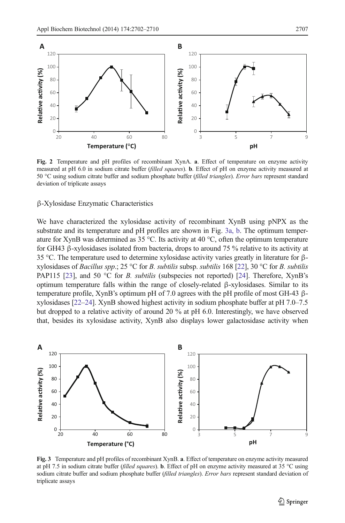<span id="page-5-0"></span>

Fig. 2 Temperature and pH profiles of recombinant XynA. a. Effect of temperature on enzyme activity measured at pH 6.0 in sodium citrate buffer (filled squares). **b**. Effect of pH on enzyme activity measured at 50 °C using sodium citrate buffer and sodium phosphate buffer (filled triangles). Error bars represent standard deviation of triplicate assays

#### β-Xylosidase Enzymatic Characteristics

We have characterized the xylosidase activity of recombinant XynB using pNPX as the substrate and its temperature and pH profiles are shown in Fig. 3a, b. The optimum temperature for XynB was determined as 35 °C. Its activity at 40 °C, often the optimum temperature for GH43 β-xylosidases isolated from bacteria, drops to around 75 % relative to its activity at 35 °C. The temperature used to determine xylosidase activity varies greatly in literature for βxylosidases of *Bacillus spp.*; 25 °C for *B. subtilis* subsp. *subtilis* 168 [\[22\]](#page-8-0), 30 °C for *B. subtilis* PAP115 [\[23\]](#page-8-0), and 50  $\degree$ C for *B. subtilis* (subspecies not reported) [\[24](#page-8-0)]. Therefore, XynB's optimum temperature falls within the range of closely-related β-xylosidases. Similar to its temperature profile, XynB's optimum pH of 7.0 agrees with the pH profile of most GH-43 βxylosidases [\[22](#page-8-0)–[24](#page-8-0)]. XynB showed highest activity in sodium phosphate buffer at pH 7.0–7.5 but dropped to a relative activity of around 20 % at pH 6.0. Interestingly, we have observed that, besides its xylosidase activity, XynB also displays lower galactosidase activity when



Fig. 3 Temperature and pH profiles of recombinant XynB. a. Effect of temperature on enzyme activity measured at pH 7.5 in sodium citrate buffer (filled squares). **b**. Effect of pH on enzyme activity measured at 35 °C using sodium citrate buffer and sodium phosphate buffer (filled triangles). Error bars represent standard deviation of triplicate assays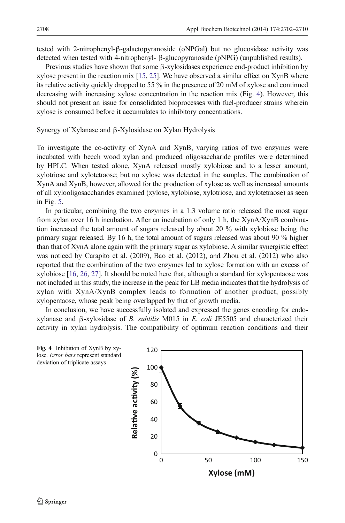tested with 2-nitrophenyl-β-galactopyranoside (oNPGal) but no glucosidase activity was detected when tested with 4-nitrophenyl- β-glucopyranoside (pNPG) (unpublished results).

Previous studies have shown that some β-xylosidases experience end-product inhibition by xylose present in the reaction mix [\[15,](#page-8-0) [25\]](#page-8-0). We have observed a similar effect on XynB where its relative activity quickly dropped to 55 % in the presence of 20 mM of xylose and continued decreasing with increasing xylose concentration in the reaction mix (Fig. 4). However, this should not present an issue for consolidated bioprocesses with fuel-producer strains wherein xylose is consumed before it accumulates to inhibitory concentrations.

Synergy of Xylanase and β-Xylosidase on Xylan Hydrolysis

To investigate the co-activity of XynA and XynB, varying ratios of two enzymes were incubated with beech wood xylan and produced oligosaccharide profiles were determined by HPLC. When tested alone, XynA released mostly xylobiose and to a lesser amount, xylotriose and xylotetraose; but no xylose was detected in the samples. The combination of XynA and XynB, however, allowed for the production of xylose as well as increased amounts of all xylooligosaccharides examined (xylose, xylobiose, xylotriose, and xylotetraose) as seen in Fig. [5.](#page-7-0)

In particular, combining the two enzymes in a 1:3 volume ratio released the most sugar from xylan over 16 h incubation. After an incubation of only 1 h, the XynA/XynB combination increased the total amount of sugars released by about 20 % with xylobiose being the primary sugar released. By 16 h, the total amount of sugars released was about 90 % higher than that of XynA alone again with the primary sugar as xylobiose. A similar synergistic effect was noticed by Carapito et al. (2009), Bao et al. (2012), and Zhou et al. (2012) who also reported that the combination of the two enzymes led to xylose formation with an excess of xylobiose [\[16](#page-8-0), [26](#page-8-0), [27](#page-8-0)]. It should be noted here that, although a standard for xylopentaose was not included in this study, the increase in the peak for LB media indicates that the hydrolysis of xylan with XynA/XynB complex leads to formation of another product, possibly xylopentaose, whose peak being overlapped by that of growth media.

In conclusion, we have successfully isolated and expressed the genes encoding for endoxylanase and β-xylosidase of B. subtilis M015 in E. coli JE5505 and characterized their activity in xylan hydrolysis. The compatibility of optimum reaction conditions and their

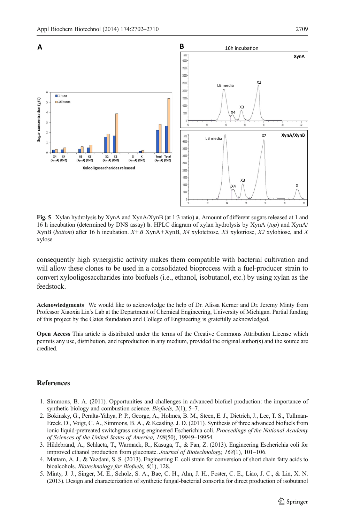<span id="page-7-0"></span>

Fig. 5 Xylan hydrolysis by XynA and XynA/XynB (at 1:3 ratio) a. Amount of different sugars released at 1 and 16 h incubation (determined by DNS assay) b. HPLC diagram of xylan hydrolysis by XynA (top) and XynA/ XynB (bottom) after 16 h incubation. X+B XynA+XynB, X4 xylotetrose, X3 xylotriose, X2 xylobiose, and X xylose

consequently high synergistic activity makes them compatible with bacterial cultivation and will allow these clones to be used in a consolidated bioprocess with a fuel-producer strain to convert xylooligosaccharides into biofuels (i.e., ethanol, isobutanol, etc.) by using xylan as the feedstock.

Acknowledgments We would like to acknowledge the help of Dr. Alissa Kerner and Dr. Jeremy Minty from Professor Xiaoxia Lin's Lab at the Department of Chemical Engineering, University of Michigan. Partial funding of this project by the Gates foundation and College of Engineering is gratefully acknowledged.

Open Access This article is distributed under the terms of the Creative Commons Attribution License which permits any use, distribution, and reproduction in any medium, provided the original author(s) and the source are credited.

#### **References**

- 1. Simmons, B. A. (2011). Opportunities and challenges in advanced biofuel production: the importance of synthetic biology and combustion science. *Biofuels*, 2(1), 5–7.
- 2. Bokinsky, G., Peralta-Yahya, P. P., George, A., Holmes, B. M., Steen, E. J., Dietrich, J., Lee, T. S., Tullman-Ercek, D., Voigt, C. A., Simmons, B. A., & Keasling, J. D. (2011). Synthesis of three advanced biofuels from ionic liquid-pretreated switchgrass using engineered Escherichia coli. Proceedings of the National Academy of Sciences of the United States of America, 108(50), 19949–19954.
- 3. Hildebrand, A., Schlacta, T., Warmack, R., Kasuga, T., & Fan, Z. (2013). Engineering Escherichia coli for improved ethanol production from gluconate. Journal of Biotechnology, 168(1), 101–106.
- 4. Mattam, A. J., & Yazdani, S. S. (2013). Engineering E. coli strain for conversion of short chain fatty acids to bioalcohols. Biotechnology for Biofuels, 6(1), 128.
- 5. Minty, J. J., Singer, M. E., Scholz, S. A., Bae, C. H., Ahn, J. H., Foster, C. E., Liao, J. C., & Lin, X. N. (2013). Design and characterization of synthetic fungal-bacterial consortia for direct production of isobutanol